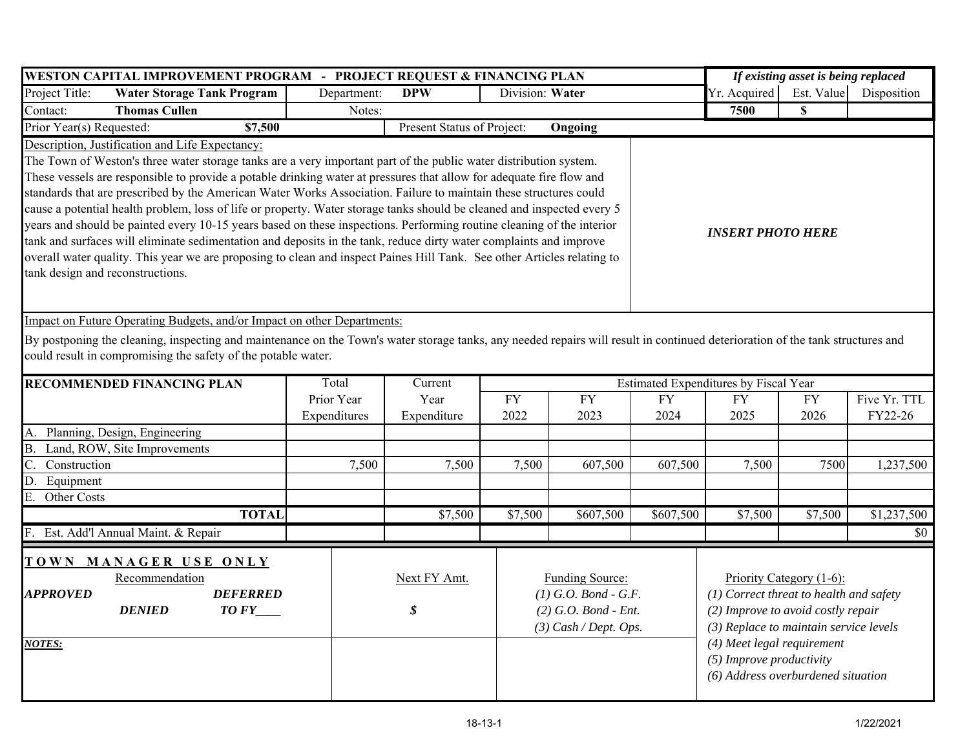| WESTON CAPITAL IMPROVEMENT PROGRAM - PROJECT REQUEST & FINANCING PLAN                                                                                                                                                                                                                                                                                                                                                                                                                                                                                                                                                                                                                                                                                                                                                                                                                                                                                                                  | If existing asset is being replaced |                            |                   |                                                                                                       |                                       |                   |                                                                                                                                                                                                                                                       |                         |  |  |  |  |
|----------------------------------------------------------------------------------------------------------------------------------------------------------------------------------------------------------------------------------------------------------------------------------------------------------------------------------------------------------------------------------------------------------------------------------------------------------------------------------------------------------------------------------------------------------------------------------------------------------------------------------------------------------------------------------------------------------------------------------------------------------------------------------------------------------------------------------------------------------------------------------------------------------------------------------------------------------------------------------------|-------------------------------------|----------------------------|-------------------|-------------------------------------------------------------------------------------------------------|---------------------------------------|-------------------|-------------------------------------------------------------------------------------------------------------------------------------------------------------------------------------------------------------------------------------------------------|-------------------------|--|--|--|--|
| Project Title:<br><b>Water Storage Tank Program</b>                                                                                                                                                                                                                                                                                                                                                                                                                                                                                                                                                                                                                                                                                                                                                                                                                                                                                                                                    | Department:                         | <b>DPW</b>                 |                   | Division: Water                                                                                       |                                       |                   | Yr. Acquired<br>Est. Value                                                                                                                                                                                                                            | Disposition             |  |  |  |  |
| <b>Thomas Cullen</b><br>Contact:                                                                                                                                                                                                                                                                                                                                                                                                                                                                                                                                                                                                                                                                                                                                                                                                                                                                                                                                                       | Notes:                              |                            |                   |                                                                                                       |                                       | 7500              | $\mathbf S$                                                                                                                                                                                                                                           |                         |  |  |  |  |
| Prior Year(s) Requested:<br>\$7,500                                                                                                                                                                                                                                                                                                                                                                                                                                                                                                                                                                                                                                                                                                                                                                                                                                                                                                                                                    |                                     | Present Status of Project: |                   | Ongoing                                                                                               |                                       |                   |                                                                                                                                                                                                                                                       |                         |  |  |  |  |
| Description, Justification and Life Expectancy:<br>The Town of Weston's three water storage tanks are a very important part of the public water distribution system.<br>These vessels are responsible to provide a potable drinking water at pressures that allow for adequate fire flow and<br>standards that are prescribed by the American Water Works Association. Failure to maintain these structures could<br>cause a potential health problem, loss of life or property. Water storage tanks should be cleaned and inspected every 5<br>years and should be painted every 10-15 years based on these inspections. Performing routine cleaning of the interior<br><b>INSERT PHOTO HERE</b><br>tank and surfaces will eliminate sedimentation and deposits in the tank, reduce dirty water complaints and improve<br>overall water quality. This year we are proposing to clean and inspect Paines Hill Tank. See other Articles relating to<br>tank design and reconstructions. |                                     |                            |                   |                                                                                                       |                                       |                   |                                                                                                                                                                                                                                                       |                         |  |  |  |  |
| Impact on Future Operating Budgets, and/or Impact on other Departments:<br>By postponing the cleaning, inspecting and maintenance on the Town's water storage tanks, any needed repairs will result in continued deterioration of the tank structures and<br>could result in compromising the safety of the potable water.                                                                                                                                                                                                                                                                                                                                                                                                                                                                                                                                                                                                                                                             |                                     |                            |                   |                                                                                                       |                                       |                   |                                                                                                                                                                                                                                                       |                         |  |  |  |  |
| <b>RECOMMENDED FINANCING PLAN</b>                                                                                                                                                                                                                                                                                                                                                                                                                                                                                                                                                                                                                                                                                                                                                                                                                                                                                                                                                      | Total                               | Current                    |                   |                                                                                                       | Estimated Expenditures by Fiscal Year |                   |                                                                                                                                                                                                                                                       |                         |  |  |  |  |
|                                                                                                                                                                                                                                                                                                                                                                                                                                                                                                                                                                                                                                                                                                                                                                                                                                                                                                                                                                                        | Prior Year<br>Expenditures          | Year<br>Expenditure        | <b>FY</b><br>2022 | <b>FY</b><br>2023                                                                                     | <b>FY</b><br>2024                     | <b>FY</b><br>2025 | <b>FY</b><br>2026                                                                                                                                                                                                                                     | Five Yr. TTL<br>FY22-26 |  |  |  |  |
| Planning, Design, Engineering<br>А.                                                                                                                                                                                                                                                                                                                                                                                                                                                                                                                                                                                                                                                                                                                                                                                                                                                                                                                                                    |                                     |                            |                   |                                                                                                       |                                       |                   |                                                                                                                                                                                                                                                       |                         |  |  |  |  |
| Land, ROW, Site Improvements<br><b>B.</b>                                                                                                                                                                                                                                                                                                                                                                                                                                                                                                                                                                                                                                                                                                                                                                                                                                                                                                                                              |                                     |                            |                   |                                                                                                       |                                       |                   |                                                                                                                                                                                                                                                       |                         |  |  |  |  |
| Construction                                                                                                                                                                                                                                                                                                                                                                                                                                                                                                                                                                                                                                                                                                                                                                                                                                                                                                                                                                           | 7,500                               | 7,500                      | 7,500             | 607,500                                                                                               | 607,500                               | 7,500             | 7500                                                                                                                                                                                                                                                  | 1,237,500               |  |  |  |  |
| Equipment<br>D.                                                                                                                                                                                                                                                                                                                                                                                                                                                                                                                                                                                                                                                                                                                                                                                                                                                                                                                                                                        |                                     |                            |                   |                                                                                                       |                                       |                   |                                                                                                                                                                                                                                                       |                         |  |  |  |  |
| ${\bf E}.$<br>Other Costs                                                                                                                                                                                                                                                                                                                                                                                                                                                                                                                                                                                                                                                                                                                                                                                                                                                                                                                                                              |                                     |                            |                   |                                                                                                       |                                       |                   |                                                                                                                                                                                                                                                       |                         |  |  |  |  |
| <b>TOTAL</b>                                                                                                                                                                                                                                                                                                                                                                                                                                                                                                                                                                                                                                                                                                                                                                                                                                                                                                                                                                           |                                     | \$7,500                    | \$7,500           | \$607,500                                                                                             | \$607,500                             | \$7,500           | \$7,500                                                                                                                                                                                                                                               | \$1,237,500             |  |  |  |  |
| Est. Add'l Annual Maint. & Repair<br>F.                                                                                                                                                                                                                                                                                                                                                                                                                                                                                                                                                                                                                                                                                                                                                                                                                                                                                                                                                |                                     |                            |                   |                                                                                                       |                                       |                   |                                                                                                                                                                                                                                                       | \$0                     |  |  |  |  |
| TOWN MANAGER USE ONLY<br>Recommendation<br><b>DEFERRED</b><br><b>APPROVED</b><br><b>DENIED</b><br>$TOFY$ <sub>___</sub><br><b>NOTES:</b>                                                                                                                                                                                                                                                                                                                                                                                                                                                                                                                                                                                                                                                                                                                                                                                                                                               |                                     | Next FY Amt.<br>\$         |                   | <b>Funding Source:</b><br>$(1)$ G.O. Bond - G.F.<br>$(2)$ G.O. Bond - Ent.<br>$(3)$ Cash / Dept. Ops. |                                       |                   | Priority Category (1-6):<br>$(1)$ Correct threat to health and safety<br>(2) Improve to avoid costly repair<br>(3) Replace to maintain service levels<br>(4) Meet legal requirement<br>(5) Improve productivity<br>(6) Address overburdened situation |                         |  |  |  |  |